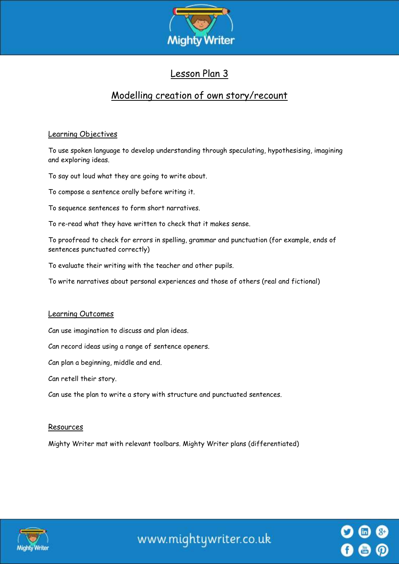

## Lesson Plan 3

# Modelling creation of own story/recount

## Learning Objectives

To use spoken language to develop understanding through speculating, hypothesising, imagining and exploring ideas.

To say out loud what they are going to write about.

To compose a sentence orally before writing it.

To sequence sentences to form short narratives.

To re-read what they have written to check that it makes sense.

To proofread to check for errors in spelling, grammar and punctuation (for example, ends of sentences punctuated correctly)

To evaluate their writing with the teacher and other pupils.

To write narratives about personal experiences and those of others (real and fictional)

#### Learning Outcomes

Can use imagination to discuss and plan ideas.

Can record ideas using a range of sentence openers.

Can plan a beginning, middle and end.

Can retell their story.

Can use the plan to write a story with structure and punctuated sentences.

#### Resources

Mighty Writer mat with relevant toolbars. Mighty Writer plans (differentiated)



www.mightywriter.co.uk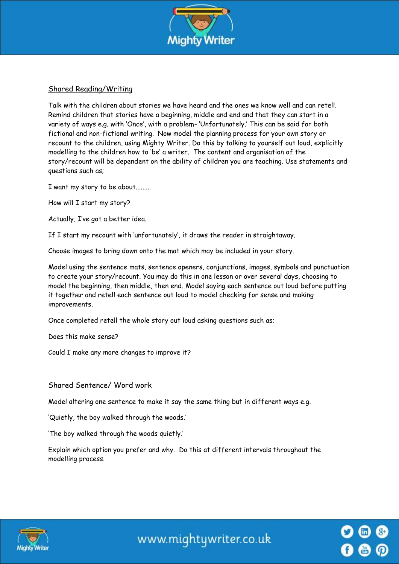

### Shared Reading/Writing

Talk with the children about stories we have heard and the ones we know well and can retell. Remind children that stories have a beginning, middle and end and that they can start in a variety of ways e.g. with 'Once', with a problem- 'Unfortunately.' This can be said for both fictional and non-fictional writing. Now model the planning process for your own story or recount to the children, using Mighty Writer. Do this by talking to yourself out loud, explicitly modelling to the children how to 'be' a writer. The content and organisation of the story/recount will be dependent on the ability of children you are teaching. Use statements and questions such as;

I want my story to be about.........

How will I start my story?

Actually, I've got a better idea.

If I start my recount with 'unfortunately', it draws the reader in straightaway.

Choose images to bring down onto the mat which may be included in your story.

Model using the sentence mats, sentence openers, conjunctions, images, symbols and punctuation to create your story/recount. You may do this in one lesson or over several days, choosing to model the beginning, then middle, then end. Model saying each sentence out loud before putting it together and retell each sentence out loud to model checking for sense and making improvements.

Once completed retell the whole story out loud asking questions such as;

Does this make sense?

Could I make any more changes to improve it?

#### Shared Sentence/ Word work

Model altering one sentence to make it say the same thing but in different ways e.g.

'Quietly, the boy walked through the woods.'

'The boy walked through the woods quietly.'

Explain which option you prefer and why. Do this at different intervals throughout the modelling process.



www.mightywriter.co.uk